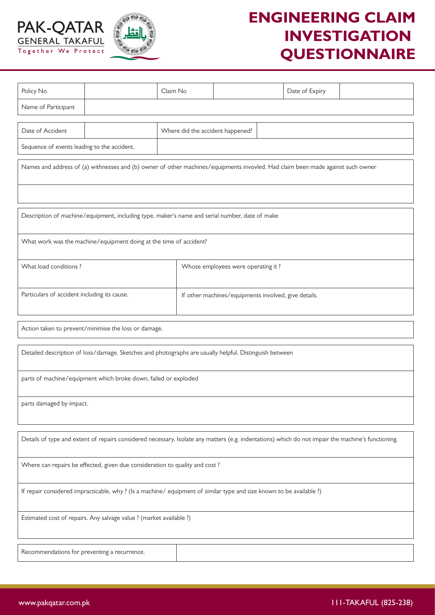



## **ENGINEERING CLAIM INVESTIGATION QUESTIONNAIRE**

| Policy No                                                                                                                                          |  | Claim No                                             |                                  |  | Date of Expiry |  |  |  |  |  |  |
|----------------------------------------------------------------------------------------------------------------------------------------------------|--|------------------------------------------------------|----------------------------------|--|----------------|--|--|--|--|--|--|
| Name of Participant                                                                                                                                |  |                                                      |                                  |  |                |  |  |  |  |  |  |
| Date of Accident                                                                                                                                   |  |                                                      | Where did the accident happened? |  |                |  |  |  |  |  |  |
| Sequence of events leading to the accident.                                                                                                        |  |                                                      |                                  |  |                |  |  |  |  |  |  |
| Names and address of (a) withnesses and (b) owner of other machines/equipments invovled. Had claim been made against such owner                    |  |                                                      |                                  |  |                |  |  |  |  |  |  |
|                                                                                                                                                    |  |                                                      |                                  |  |                |  |  |  |  |  |  |
| Description of machine/equipment, including type, maker's name and serial number, date of make                                                     |  |                                                      |                                  |  |                |  |  |  |  |  |  |
| What work was the machine/equipment doing at the time of accident?                                                                                 |  |                                                      |                                  |  |                |  |  |  |  |  |  |
| What load conditions?                                                                                                                              |  | Whose employees were operating it?                   |                                  |  |                |  |  |  |  |  |  |
| Particulars of accident including its cause.                                                                                                       |  | If other machines/equipments involved, give details. |                                  |  |                |  |  |  |  |  |  |
| Action taken to prevent/minimise the loss or damage.                                                                                               |  |                                                      |                                  |  |                |  |  |  |  |  |  |
| Detailed description of loss/damage. Sketches and photographs are usually helpful. Distinguish between                                             |  |                                                      |                                  |  |                |  |  |  |  |  |  |
| parts of machine/equipment which broke down, failed or exploded                                                                                    |  |                                                      |                                  |  |                |  |  |  |  |  |  |
| parts damaged by impact.                                                                                                                           |  |                                                      |                                  |  |                |  |  |  |  |  |  |
| Details of type and extent of repairs considered necessary. Isolate any matters (e.g. indentations) which do not impair the machine's functioning. |  |                                                      |                                  |  |                |  |  |  |  |  |  |
| Where can repairs be effected, given due consideration to quality and cost?                                                                        |  |                                                      |                                  |  |                |  |  |  |  |  |  |
| If repair considered impracticable, why? (Is a machine/equipment of similar type and size known to be available?)                                  |  |                                                      |                                  |  |                |  |  |  |  |  |  |
| Estimated cost of repairs. Any salvage value ? (market available ?)                                                                                |  |                                                      |                                  |  |                |  |  |  |  |  |  |
| Recommendations for preventing a recurrence.                                                                                                       |  |                                                      |                                  |  |                |  |  |  |  |  |  |